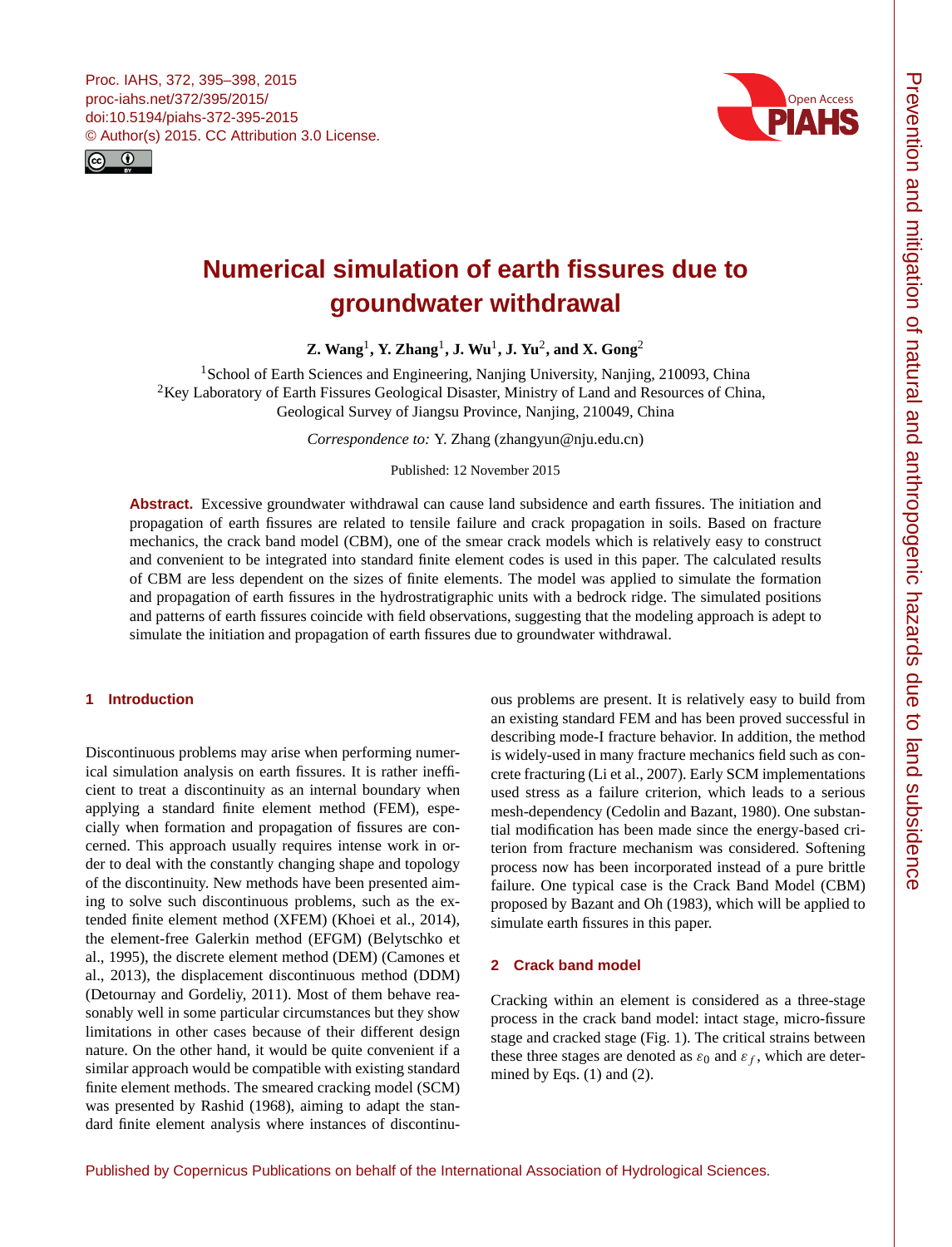<span id="page-0-1"></span>



# **Numerical simulation of earth fissures due to groundwater withdrawal**

**Z. Wang**[1](#page-0-0) **, Y. Zhang**[1](#page-0-0) **, J. Wu**[1](#page-0-0) **, J. Yu**[2](#page-0-0) **, and X. Gong**[2](#page-0-0)

<sup>1</sup> School of Earth Sciences and Engineering, Nanjing University, Nanjing, 210093, China <sup>2</sup>Key Laboratory of Earth Fissures Geological Disaster, Ministry of Land and Resources of China, Geological Survey of Jiangsu Province, Nanjing, 210049, China

*Correspondence to:* Y. Zhang (zhangyun@nju.edu.cn)

Published: 12 November 2015

**Abstract.** Excessive groundwater withdrawal can cause land subsidence and earth fissures. The initiation and propagation of earth fissures are related to tensile failure and crack propagation in soils. Based on fracture mechanics, the crack band model (CBM), one of the smear crack models which is relatively easy to construct and convenient to be integrated into standard finite element codes is used in this paper. The calculated results of CBM are less dependent on the sizes of finite elements. The model was applied to simulate the formation and propagation of earth fissures in the hydrostratigraphic units with a bedrock ridge. The simulated positions and patterns of earth fissures coincide with field observations, suggesting that the modeling approach is adept to simulate the initiation and propagation of earth fissures due to groundwater withdrawal.

## <span id="page-0-0"></span>**1 Introduction**

Discontinuous problems may arise when performing numerical simulation analysis on earth fissures. It is rather inefficient to treat a discontinuity as an internal boundary when applying a standard finite element method (FEM), especially when formation and propagation of fissures are concerned. This approach usually requires intense work in order to deal with the constantly changing shape and topology of the discontinuity. New methods have been presented aiming to solve such discontinuous problems, such as the extended finite element method (XFEM) (Khoei et al., 2014), the element-free Galerkin method (EFGM) (Belytschko et al., 1995), the discrete element method (DEM) (Camones et al., 2013), the displacement discontinuous method (DDM) (Detournay and Gordeliy, 2011). Most of them behave reasonably well in some particular circumstances but they show limitations in other cases because of their different design nature. On the other hand, it would be quite convenient if a similar approach would be compatible with existing standard finite element methods. The smeared cracking model (SCM) was presented by Rashid (1968), aiming to adapt the standard finite element analysis where instances of discontinuous problems are present. It is relatively easy to build from an existing standard FEM and has been proved successful in describing mode-I fracture behavior. In addition, the method is widely-used in many fracture mechanics field such as concrete fracturing (Li et al., 2007). Early SCM implementations used stress as a failure criterion, which leads to a serious mesh-dependency (Cedolin and Bazant, 1980). One substantial modification has been made since the energy-based criterion from fracture mechanism was considered. Softening process now has been incorporated instead of a pure brittle failure. One typical case is the Crack Band Model (CBM) proposed by Bazant and Oh (1983), which will be applied to simulate earth fissures in this paper.

#### **2 Crack band model**

Cracking within an element is considered as a three-stage process in the crack band model: intact stage, micro-fissure stage and cracked stage (Fig. 1). The critical strains between these three stages are denoted as  $\varepsilon_0$  and  $\varepsilon_f$ , which are determined by Eqs.  $(1)$  and  $(2)$ .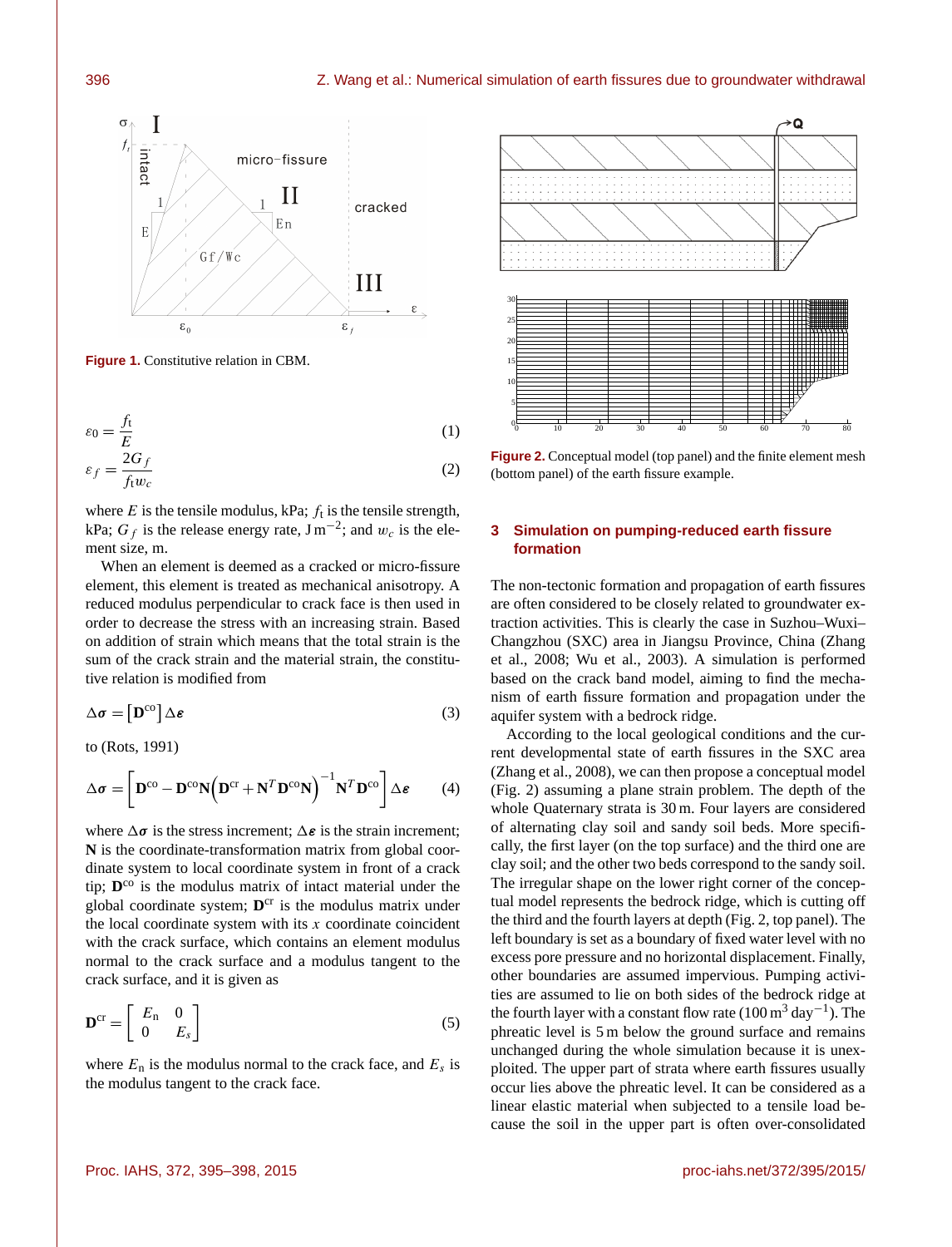

**Figure 1.** Constitutive relation in CBM.

$$
\varepsilon_0 = \frac{f_t}{E} \tag{1}
$$

$$
\varepsilon_f = \frac{2G_f}{f_t w_c} \tag{2}
$$

where  $E$  is the tensile modulus, kPa;  $f_t$  is the tensile strength, kPa;  $G_f$  is the release energy rate,  $\text{J m}^{-2}$ ; and  $w_c$  is the element size, m.

When an element is deemed as a cracked or micro-fissure element, this element is treated as mechanical anisotropy. A reduced modulus perpendicular to crack face is then used in order to decrease the stress with an increasing strain. Based on addition of strain which means that the total strain is the sum of the crack strain and the material strain, the constitutive relation is modified from

$$
\Delta \sigma = \left[ \mathbf{D}^{\text{co}} \right] \Delta \varepsilon \tag{3}
$$

to (Rots, 1991)

$$
\Delta \boldsymbol{\sigma} = \left[ \mathbf{D}^{\text{co}} - \mathbf{D}^{\text{co}} \mathbf{N} \left( \mathbf{D}^{\text{cr}} + \mathbf{N}^{T} \mathbf{D}^{\text{co}} \mathbf{N} \right)^{-1} \mathbf{N}^{T} \mathbf{D}^{\text{co}} \right] \Delta \boldsymbol{\varepsilon}
$$
 (4)

where  $\Delta \sigma$  is the stress increment;  $\Delta \epsilon$  is the strain increment; **N** is the coordinate-transformation matrix from global coordinate system to local coordinate system in front of a crack tip; **D** co is the modulus matrix of intact material under the global coordinate system; D<sup>cr</sup> is the modulus matrix under the local coordinate system with its  $x$  coordinate coincident with the crack surface, which contains an element modulus normal to the crack surface and a modulus tangent to the crack surface, and it is given as

$$
\mathbf{D}^{\mathrm{cr}} = \left[ \begin{array}{cc} E_{\mathrm{n}} & 0 \\ 0 & E_{s} \end{array} \right] \tag{5}
$$

where  $E_n$  is the modulus normal to the crack face, and  $E_s$  is the modulus tangent to the crack face.



**Figure 2.** Conceptual model (top panel) and the finite element mesh (bottom panel) of the earth fissure example.

## **3 Simulation on pumping-reduced earth fissure formation**

The non-tectonic formation and propagation of earth fissures are often considered to be closely related to groundwater extraction activities. This is clearly the case in Suzhou–Wuxi– Changzhou (SXC) area in Jiangsu Province, China (Zhang et al., 2008; Wu et al., 2003). A simulation is performed based on the crack band model, aiming to find the mechanism of earth fissure formation and propagation under the aquifer system with a bedrock ridge.

According to the local geological conditions and the current developmental state of earth fissures in the SXC area (Zhang et al., 2008), we can then propose a conceptual model (Fig. 2) assuming a plane strain problem. The depth of the whole Quaternary strata is 30 m. Four layers are considered of alternating clay soil and sandy soil beds. More specifically, the first layer (on the top surface) and the third one are clay soil; and the other two beds correspond to the sandy soil. The irregular shape on the lower right corner of the conceptual model represents the bedrock ridge, which is cutting off the third and the fourth layers at depth (Fig. 2, top panel). The left boundary is set as a boundary of fixed water level with no excess pore pressure and no horizontal displacement. Finally, other boundaries are assumed impervious. Pumping activities are assumed to lie on both sides of the bedrock ridge at the fourth layer with a constant flow rate (100 m<sup>3</sup> day<sup>-1</sup>). The phreatic level is 5 m below the ground surface and remains unchanged during the whole simulation because it is unexploited. The upper part of strata where earth fissures usually occur lies above the phreatic level. It can be considered as a linear elastic material when subjected to a tensile load because the soil in the upper part is often over-consolidated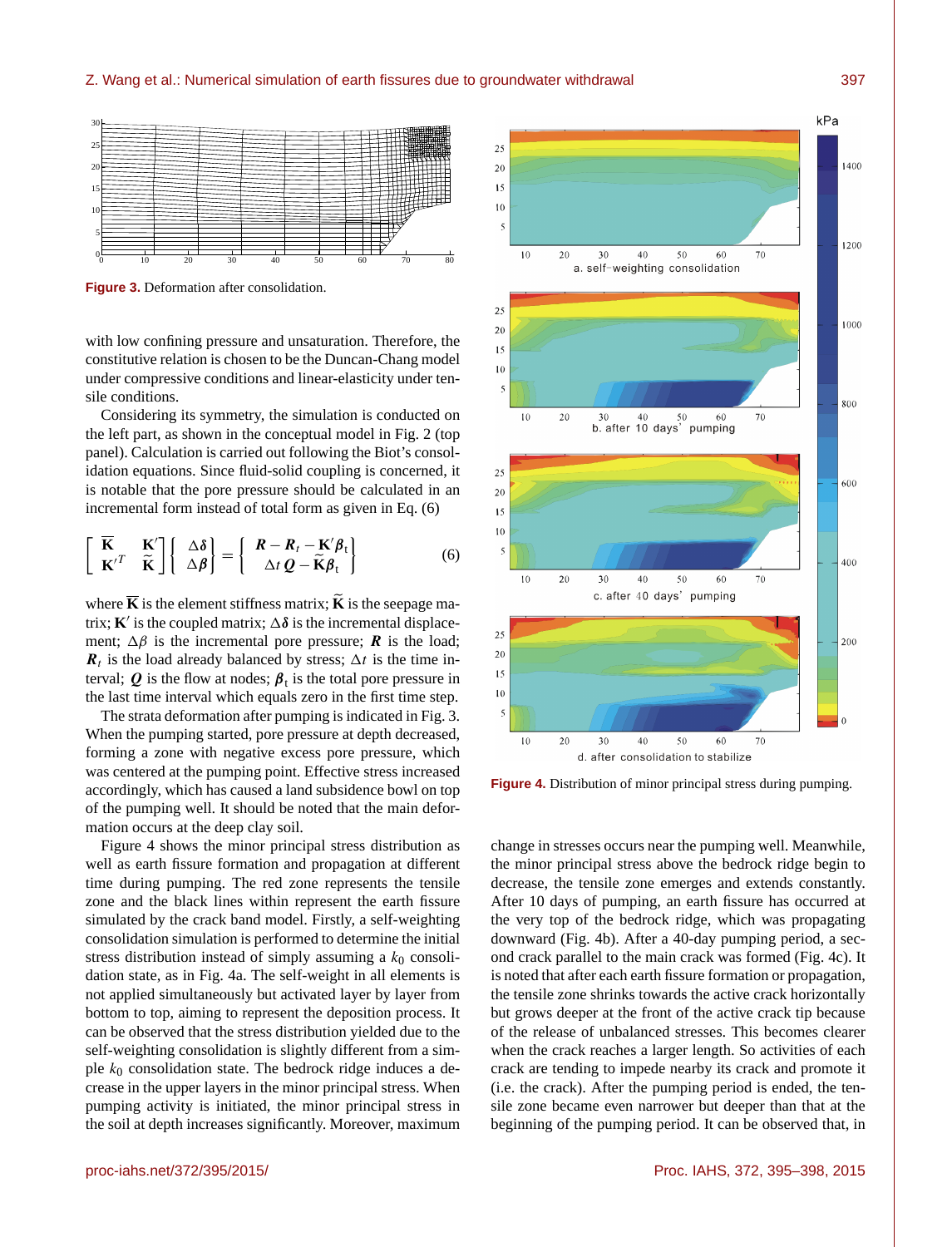

**Figure 3.** Deformation after consolidation.

with low confining pressure and unsaturation. Therefore, the constitutive relation is chosen to be the Duncan-Chang model under compressive conditions and linear-elasticity under tensile conditions.

Considering its symmetry, the simulation is conducted on the left part, as shown in the conceptual model in Fig. 2 (top panel). Calculation is carried out following the Biot's consolidation equations. Since fluid-solid coupling is concerned, it is notable that the pore pressure should be calculated in an incremental form instead of total form as given in Eq. (6)

$$
\begin{bmatrix} \overline{\mathbf{K}} & \mathbf{K}' \\ \mathbf{K}'^T & \widetilde{\mathbf{K}} \end{bmatrix} \begin{bmatrix} \Delta \delta \\ \Delta \beta \end{bmatrix} = \begin{bmatrix} \mathbf{R} - \mathbf{R}_t - \mathbf{K}' \beta_t \\ \Delta t \mathbf{Q} - \widetilde{\mathbf{K}} \beta_t \end{bmatrix}
$$
(6)

where  $\overline{K}$  is the element stiffness matrix;  $\overline{K}$  is the seepage matrix; **K**' is the coupled matrix;  $\Delta \delta$  is the incremental displacement;  $\Delta \beta$  is the incremental pore pressure; **R** is the load;  $\mathbf{R}_t$  is the load already balanced by stress;  $\Delta t$  is the time interval;  $Q$  is the flow at nodes;  $\beta_t$  is the total pore pressure in the last time interval which equals zero in the first time step.

The strata deformation after pumping is indicated in Fig. 3. When the pumping started, pore pressure at depth decreased, forming a zone with negative excess pore pressure, which was centered at the pumping point. Effective stress increased accordingly, which has caused a land subsidence bowl on top of the pumping well. It should be noted that the main deformation occurs at the deep clay soil.

Figure 4 shows the minor principal stress distribution as well as earth fissure formation and propagation at different time during pumping. The red zone represents the tensile zone and the black lines within represent the earth fissure simulated by the crack band model. Firstly, a self-weighting consolidation simulation is performed to determine the initial stress distribution instead of simply assuming a  $k_0$  consolidation state, as in Fig. 4a. The self-weight in all elements is not applied simultaneously but activated layer by layer from bottom to top, aiming to represent the deposition process. It can be observed that the stress distribution yielded due to the self-weighting consolidation is slightly different from a simple  $k_0$  consolidation state. The bedrock ridge induces a decrease in the upper layers in the minor principal stress. When pumping activity is initiated, the minor principal stress in the soil at depth increases significantly. Moreover, maximum



**Figure 4.** Distribution of minor principal stress during pumping.

change in stresses occurs near the pumping well. Meanwhile, the minor principal stress above the bedrock ridge begin to decrease, the tensile zone emerges and extends constantly. After 10 days of pumping, an earth fissure has occurred at the very top of the bedrock ridge, which was propagating downward (Fig. 4b). After a 40-day pumping period, a second crack parallel to the main crack was formed (Fig. 4c). It is noted that after each earth fissure formation or propagation, the tensile zone shrinks towards the active crack horizontally but grows deeper at the front of the active crack tip because of the release of unbalanced stresses. This becomes clearer when the crack reaches a larger length. So activities of each crack are tending to impede nearby its crack and promote it (i.e. the crack). After the pumping period is ended, the tensile zone became even narrower but deeper than that at the beginning of the pumping period. It can be observed that, in